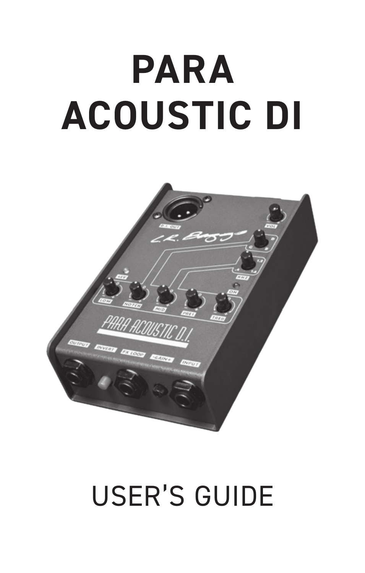# **PARA ACOUSTIC DI**



# USER'S GUIDE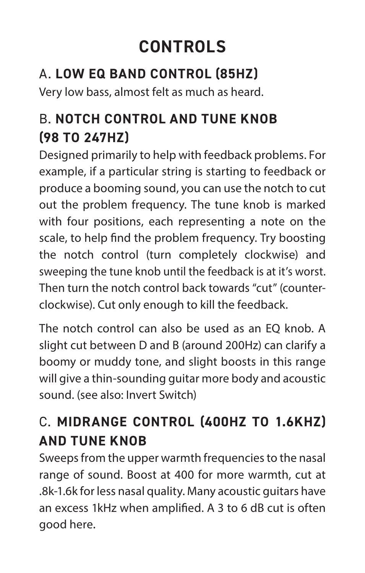# **CONTROLS**

#### A. **LOW EQ BAND CONTROL (85HZ)**

Very low bass, almost felt as much as heard.

#### B. **NOTCH CONTROL AND TUNE KNOB (98 TO 247HZ)**

Designed primarily to help with feedback problems. For example, if a particular string is starting to feedback or produce a booming sound, you can use the notch to cut out the problem frequency. The tune knob is marked with four positions, each representing a note on the scale, to help find the problem frequency. Try boosting the notch control (turn completely clockwise) and sweeping the tune knob until the feedback is at it's worst. Then turn the notch control back towards "cut" (counterclockwise). Cut only enough to kill the feedback.

The notch control can also be used as an EQ knob. A slight cut between D and B (around 200Hz) can clarify a boomy or muddy tone, and slight boosts in this range will give a thin-sounding guitar more body and acoustic sound. (see also: Invert Switch)

#### C. **MIDRANGE CONTROL (400HZ TO 1.6KHZ) AND TUNE KNOB**

Sweeps from the upper warmth frequencies to the nasal range of sound. Boost at 400 for more warmth, cut at .8k-1.6k for less nasal quality. Many acoustic guitars have an excess 1kHz when amplified. A 3 to 6 dB cut is often good here.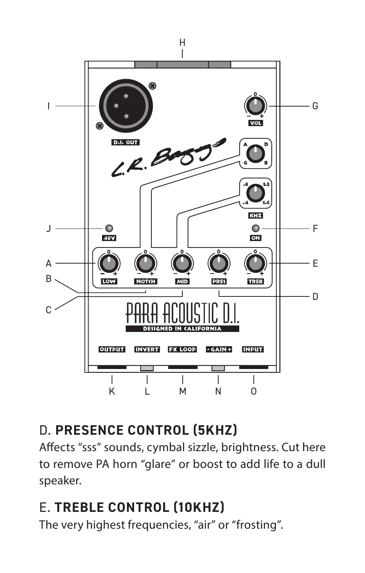

#### D. **PRESENCE CONTROL (5KHZ)**

Affects "sss" sounds, cymbal sizzle, brightness. Cut here to remove PA horn "glare" or boost to add life to a dull speaker.

#### E. **TREBLE CONTROL (10KHZ)**

The very highest frequencies, "air" or "frosting".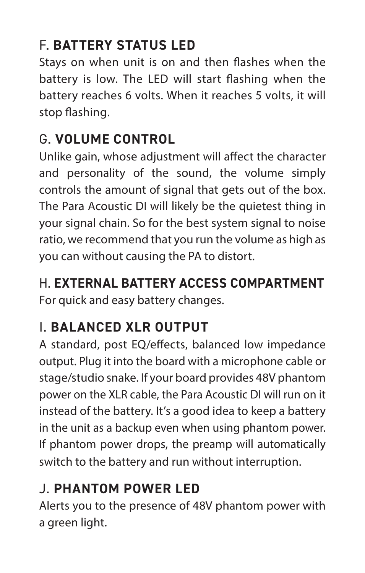#### F. **BATTERY STATUS LED**

Stays on when unit is on and then flashes when the battery is low. The LED will start flashing when the battery reaches 6 volts. When it reaches 5 volts, it will stop flashing.

#### G. **VOLUME CONTROL**

Unlike gain, whose adjustment will affect the character and personality of the sound, the volume simply controls the amount of signal that gets out of the box. The Para Acoustic DI will likely be the quietest thing in your signal chain. So for the best system signal to noise ratio, we recommend that you run the volume as high as you can without causing the PA to distort.

#### H. **EXTERNAL BATTERY ACCESS COMPARTMENT**

For quick and easy battery changes.

#### I. **BALANCED XLR OUTPUT**

A standard, post EQ/effects, balanced low impedance output. Plug it into the board with a microphone cable or stage/studio snake. If your board provides 48V phantom power on the XLR cable, the Para Acoustic DI will run on it instead of the battery. It's a good idea to keep a battery in the unit as a backup even when using phantom power. If phantom power drops, the preamp will automatically switch to the battery and run without interruption.

#### J. **PHANTOM POWER LED**

Alerts you to the presence of 48V phantom power with a green light.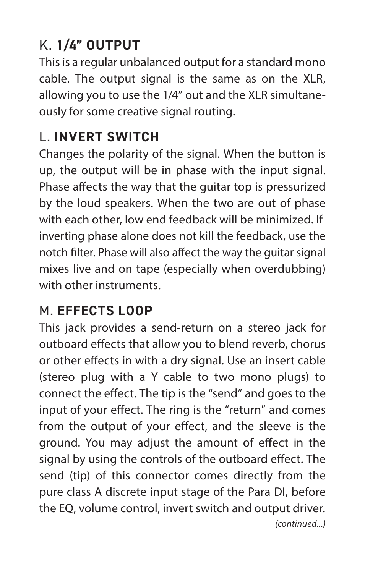#### K. **1/4" OUTPUT**

This is a regular unbalanced output for a standard mono cable. The output signal is the same as on the XLR, allowing you to use the 1/4" out and the XLR simultaneously for some creative signal routing.

#### L. **INVERT SWITCH**

Changes the polarity of the signal. When the button is up, the output will be in phase with the input signal. Phase affects the way that the guitar top is pressurized by the loud speakers. When the two are out of phase with each other, low end feedback will be minimized. If inverting phase alone does not kill the feedback, use the notch filter. Phase will also affect the way the guitar signal mixes live and on tape (especially when overdubbing) with other instruments.

#### M. **EFFECTS LOOP**

This jack provides a send-return on a stereo jack for outboard effects that allow you to blend reverb, chorus or other effects in with a dry signal. Use an insert cable (stereo plug with a Y cable to two mono plugs) to connect the effect. The tip is the "send" and goes to the input of your effect. The ring is the "return" and comes from the output of your effect, and the sleeve is the ground. You may adjust the amount of effect in the signal by using the controls of the outboard effect. The send (tip) of this connector comes directly from the pure class A discrete input stage of the Para DI, before the EQ, volume control, invert switch and output driver.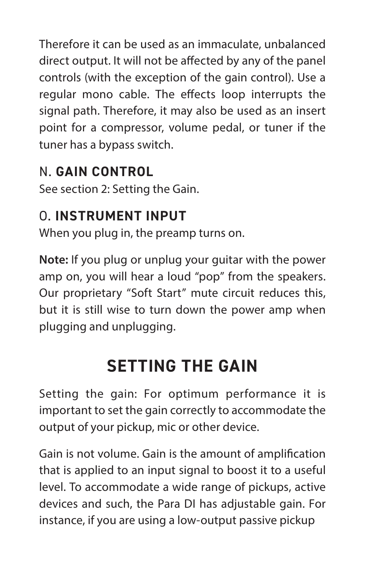Therefore it can be used as an immaculate, unbalanced direct output. It will not be affected by any of the panel controls (with the exception of the gain control). Use a regular mono cable. The effects loop interrupts the signal path. Therefore, it may also be used as an insert point for a compressor, volume pedal, or tuner if the tuner has a bypass switch.

#### N. **GAIN CONTROL**

See section 2: Setting the Gain.

#### O. **INSTRUMENT INPUT**

When you plug in, the preamp turns on.

**Note:** If you plug or unplug your guitar with the power amp on, you will hear a loud "pop" from the speakers. Our proprietary "Soft Start" mute circuit reduces this, but it is still wise to turn down the power amp when plugging and unplugging.

## **SETTING THE GAIN**

Setting the gain: For optimum performance it is important to set the gain correctly to accommodate the output of your pickup, mic or other device.

Gain is not volume. Gain is the amount of amplification that is applied to an input signal to boost it to a useful level. To accommodate a wide range of pickups, active devices and such, the Para DI has adjustable gain. For instance, if you are using a low-output passive pickup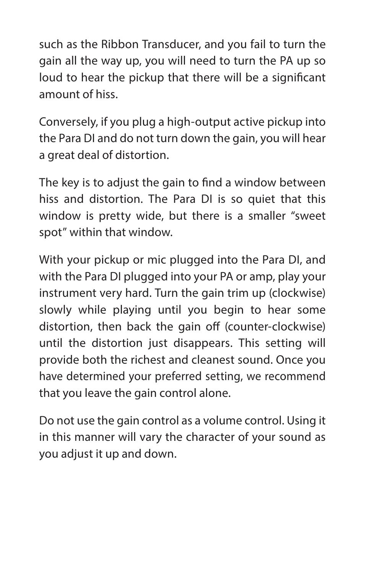such as the Ribbon Transducer, and you fail to turn the gain all the way up, you will need to turn the PA up so loud to hear the pickup that there will be a significant amount of hiss.

Conversely, if you plug a high-output active pickup into the Para DI and do not turn down the gain, you will hear a great deal of distortion.

The key is to adjust the gain to find a window between hiss and distortion. The Para DI is so quiet that this window is pretty wide, but there is a smaller "sweet spot" within that window.

With your pickup or mic plugged into the Para DI, and with the Para DI plugged into your PA or amp, play your instrument very hard. Turn the gain trim up (clockwise) slowly while playing until you begin to hear some distortion, then back the gain off (counter-clockwise) until the distortion just disappears. This setting will provide both the richest and cleanest sound. Once you have determined your preferred setting, we recommend that you leave the gain control alone.

Do not use the gain control as a volume control. Using it in this manner will vary the character of your sound as you adjust it up and down.